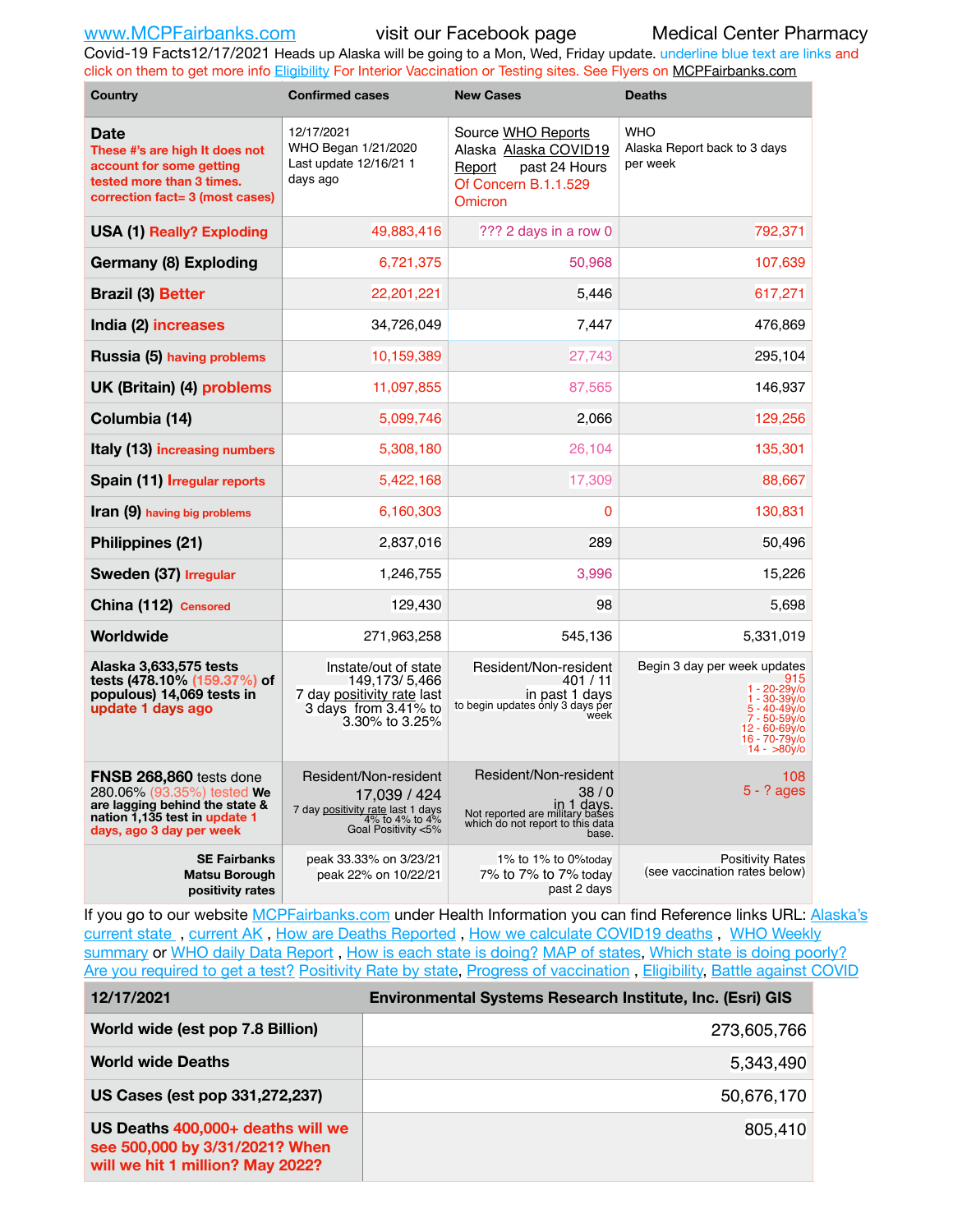Covid-19 Facts12/17/2021 Heads up Alaska will be going to a Mon, Wed, Friday update. underline blue text are links and click on them to get more info [Eligibility](http://dhss.alaska.gov/dph/Epi/id/Pages/COVID-19/VaccineAvailability.aspx) For Interior Vaccination or Testing sites. See Flyers on [MCPFairbanks.com](http://www.MCPFairbanks.com)

| <b>Country</b>                                                                                                                                       | <b>Confirmed cases</b>                                                                                              | <b>New Cases</b>                                                                                                            | <b>Deaths</b>                                                                                                                                                   |  |  |  |
|------------------------------------------------------------------------------------------------------------------------------------------------------|---------------------------------------------------------------------------------------------------------------------|-----------------------------------------------------------------------------------------------------------------------------|-----------------------------------------------------------------------------------------------------------------------------------------------------------------|--|--|--|
| <b>Date</b><br>These #'s are high It does not<br>account for some getting<br>tested more than 3 times.<br>correction fact= 3 (most cases)            | 12/17/2021<br>WHO Began 1/21/2020<br>Last update 12/16/21 1<br>days ago                                             | Source WHO Reports<br>Alaska Alaska COVID19<br>past 24 Hours<br>Report<br>Of Concern B.1.1.529<br>Omicron                   | <b>WHO</b><br>Alaska Report back to 3 days<br>per week                                                                                                          |  |  |  |
| <b>USA (1) Really? Exploding</b>                                                                                                                     | 49,883,416                                                                                                          | ??? 2 days in a row 0                                                                                                       | 792,371                                                                                                                                                         |  |  |  |
| Germany (8) Exploding                                                                                                                                | 6,721,375                                                                                                           | 50,968                                                                                                                      | 107,639                                                                                                                                                         |  |  |  |
| <b>Brazil (3) Better</b>                                                                                                                             | 22,201,221                                                                                                          | 5,446                                                                                                                       | 617,271                                                                                                                                                         |  |  |  |
| India (2) increases                                                                                                                                  | 34,726,049                                                                                                          | 7,447                                                                                                                       | 476,869                                                                                                                                                         |  |  |  |
| Russia (5) having problems                                                                                                                           | 10,159,389                                                                                                          | 27,743                                                                                                                      | 295,104                                                                                                                                                         |  |  |  |
| UK (Britain) (4) problems                                                                                                                            | 11,097,855                                                                                                          | 87,565                                                                                                                      | 146,937                                                                                                                                                         |  |  |  |
| Columbia (14)                                                                                                                                        | 5,099,746                                                                                                           | 2,066                                                                                                                       | 129,256                                                                                                                                                         |  |  |  |
| Italy (13) increasing numbers                                                                                                                        | 5,308,180                                                                                                           | 26,104                                                                                                                      | 135,301                                                                                                                                                         |  |  |  |
| Spain (11) Irregular reports                                                                                                                         | 5,422,168                                                                                                           | 17,309                                                                                                                      | 88,667                                                                                                                                                          |  |  |  |
| Iran (9) having big problems                                                                                                                         | 6,160,303                                                                                                           | 0                                                                                                                           | 130,831                                                                                                                                                         |  |  |  |
| Philippines (21)                                                                                                                                     | 2,837,016                                                                                                           | 289                                                                                                                         | 50,496                                                                                                                                                          |  |  |  |
| Sweden (37) Irregular                                                                                                                                | 1,246,755                                                                                                           | 3,996                                                                                                                       | 15,226                                                                                                                                                          |  |  |  |
| China (112) Censored                                                                                                                                 | 129,430                                                                                                             | 98                                                                                                                          | 5,698                                                                                                                                                           |  |  |  |
| Worldwide                                                                                                                                            | 271,963,258                                                                                                         | 545,136                                                                                                                     | 5,331,019                                                                                                                                                       |  |  |  |
| Alaska 3,633,575 tests<br>tests (478.10% (159.37%) of<br>populous) 14,069 tests in<br>update 1 days ago                                              | Instate/out of state<br>149,173/5,466<br>7 day positivity rate last<br>3 days from 3.41% to<br>3.30% to 3.25%       | Resident/Non-resident<br>401 / 11<br>in past 1 days<br>to begin updates only 3 days per<br>week                             | Begin 3 day per week updates<br>915<br>1 - 20-29y/o<br>1 - 30-39y/o<br>$5 - 40 - 49v$<br>7 - 50-59y/o<br>12 - 60-69y/o<br>16 - 70-79y/o<br>$14 - \frac{80y}{0}$ |  |  |  |
| FNSB 268,860 tests done<br>280.06% (93.35%) tested We<br>are lagging behind the state &<br>nation 1,135 test in update 1<br>days, ago 3 day per week | Resident/Non-resident<br>17,039 / 424<br>7 day positivity rate last 1 days<br>4% to 4% to 4%<br>Goal Positivity <5% | Resident/Non-resident<br>38/0<br>in 1 days.<br>Not reported are military bases<br>which do not report to this data<br>base. | 108<br>$5 - ?$ ages                                                                                                                                             |  |  |  |
| <b>SE Fairbanks</b><br>Matsu Borough<br>positivity rates                                                                                             | peak 33.33% on 3/23/21<br>peak 22% on 10/22/21                                                                      | 1% to 1% to 0%today<br>7% to 7% to 7% today<br>past 2 days                                                                  | <b>Positivity Rates</b><br>(see vaccination rates below)                                                                                                        |  |  |  |

If you go to our website [MCPFairbanks.com](http://www.MCPFairbanks.com) under Health Information you can find Reference links URL: Alaska's [current state](https://coronavirus-response-alaska-dhss.hub.arcgis.com) , [current AK](http://dhss.alaska.gov/dph/Epi/id/Pages/COVID-19/communications.aspx#cases) , [How are Deaths Reported](http://dhss.alaska.gov/dph/Epi/id/Pages/COVID-19/deathcounts.aspx) , [How we calculate COVID19 deaths](https://coronavirus-response-alaska-dhss.hub.arcgis.com/search?collection=Document&groupIds=41ccb3344ebc4bd682c74073eba21f42) , [WHO Weekly](http://www.who.int)  [summary](http://www.who.int) or [WHO daily Data Report](https://covid19.who.int/table), [How is each state is doing?](https://www.msn.com/en-us/news/us/state-by-state-coronavirus-news/ar-BB13E1PX?fbclid=IwAR0_OBJH7lSyTN3ug_MsOeFnNgB1orTa9OBgilKJ7dhnwlVvHEsptuKkj1c) [MAP of states,](https://www.nationalgeographic.com/science/graphics/graphic-tracking-coronavirus-infections-us?cmpid=org=ngp::mc=crm-email::src=ngp::cmp=editorial::add=SpecialEdition_20210305&rid=B9A6DF5992658E8E35CE023113CFEA4C) [Which state is doing poorly?](https://bestlifeonline.com/covid-outbreak-your-state/?utm_source=nsltr&utm_medium=email&utm_content=covid-outbreak-your-state&utm_campaign=launch) [Are you required to get a test?](http://dhss.alaska.gov/dph/Epi/id/SiteAssets/Pages/HumanCoV/Whattodoafteryourtest.pdf) [Positivity Rate by state](https://coronavirus.jhu.edu/testing/individual-states/alaska), Progress of vaccination, [Eligibility,](http://dhss.alaska.gov/dph/Epi/id/Pages/COVID-19/VaccineAvailability.aspx) [Battle against COVID](https://www.nationalgeographic.com/science/graphics/graphic-tracking-coronavirus-infections-us?cmpid=org=ngp::mc=crm-email::src=ngp::cmp=editorial::add=SpecialEdition_20210219&rid=B9A6DF5992658E8E35CE023113CFEA4C)

| 12/17/2021                                                                                              | Environmental Systems Research Institute, Inc. (Esri) GIS |
|---------------------------------------------------------------------------------------------------------|-----------------------------------------------------------|
| World wide (est pop 7.8 Billion)                                                                        | 273,605,766                                               |
| <b>World wide Deaths</b>                                                                                | 5,343,490                                                 |
| US Cases (est pop 331,272,237)                                                                          | 50,676,170                                                |
| US Deaths 400,000+ deaths will we<br>see 500,000 by 3/31/2021? When<br>will we hit 1 million? May 2022? | 805,410                                                   |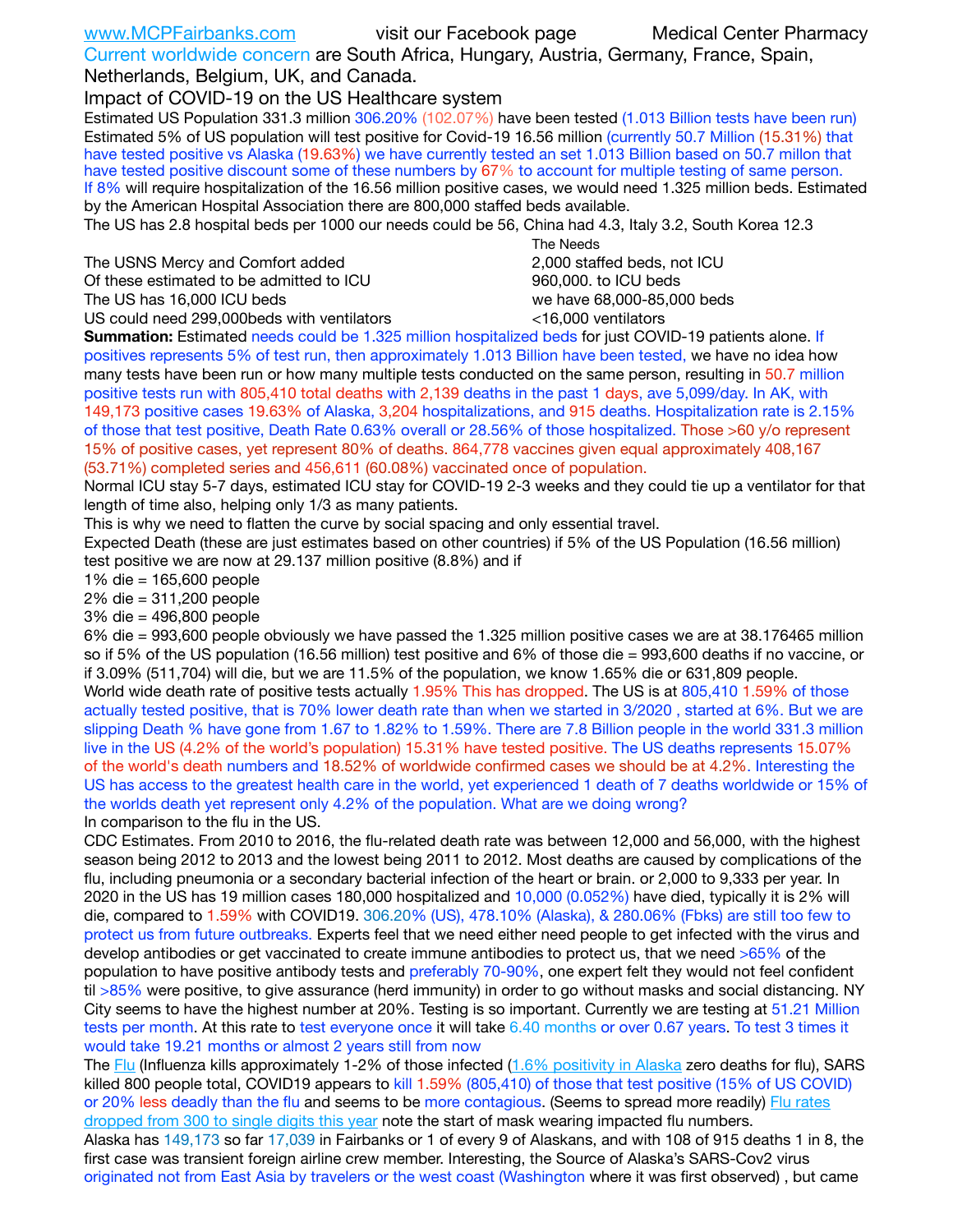| www.MCPFairbanks.com                  | visit our Facebook page                                                               | <b>Medical Center Pharmacy</b> |
|---------------------------------------|---------------------------------------------------------------------------------------|--------------------------------|
|                                       | Current worldwide concern are South Africa, Hungary, Austria, Germany, France, Spain, |                                |
| Netherlands, Belgium, UK, and Canada. |                                                                                       |                                |

Impact of COVID-19 on the US Healthcare system

Estimated US Population 331.3 million 306.20% (102.07%) have been tested (1.013 Billion tests have been run) Estimated 5% of US population will test positive for Covid-19 16.56 million (currently 50.7 Million (15.31%) that have tested positive vs Alaska (19.63%) we have currently tested an set 1.013 Billion based on 50.7 millon that have tested positive discount some of these numbers by 67% to account for multiple testing of same person. If 8% will require hospitalization of the 16.56 million positive cases, we would need 1.325 million beds. Estimated by the American Hospital Association there are 800,000 staffed beds available.

The US has 2.8 hospital beds per 1000 our needs could be 56, China had 4.3, Italy 3.2, South Korea 12.3

The USNS Mercy and Comfort added **2,000** staffed beds, not ICU Of these estimated to be admitted to ICU 960,000. to ICU beds

The US has 16,000 ICU beds we have 68,000-85,000 beds

US could need 299,000 beds with ventilators  $\sim$  16,000 ventilators

 The Needs

**Summation:** Estimated needs could be 1.325 million hospitalized beds for just COVID-19 patients alone. If positives represents 5% of test run, then approximately 1.013 Billion have been tested, we have no idea how many tests have been run or how many multiple tests conducted on the same person, resulting in 50.7 million positive tests run with 805,410 total deaths with 2,139 deaths in the past 1 days, ave 5,099/day. In AK, with 149,173 positive cases 19.63% of Alaska, 3,204 hospitalizations, and 915 deaths. Hospitalization rate is 2.15% of those that test positive, Death Rate 0.63% overall or 28.56% of those hospitalized. Those >60 y/o represent 15% of positive cases, yet represent 80% of deaths. 864,778 vaccines given equal approximately 408,167 (53.71%) completed series and 456,611 (60.08%) vaccinated once of population.

Normal ICU stay 5-7 days, estimated ICU stay for COVID-19 2-3 weeks and they could tie up a ventilator for that length of time also, helping only 1/3 as many patients.

This is why we need to flatten the curve by social spacing and only essential travel.

Expected Death (these are just estimates based on other countries) if 5% of the US Population (16.56 million) test positive we are now at 29.137 million positive (8.8%) and if

1% die = 165,600 people

2% die = 311,200 people

3% die = 496,800 people

6% die = 993,600 people obviously we have passed the 1.325 million positive cases we are at 38.176465 million so if 5% of the US population (16.56 million) test positive and 6% of those die = 993,600 deaths if no vaccine, or if 3.09% (511,704) will die, but we are 11.5% of the population, we know 1.65% die or 631,809 people.

World wide death rate of positive tests actually 1.95% This has dropped. The US is at 805,410 1.59% of those actually tested positive, that is 70% lower death rate than when we started in 3/2020 , started at 6%. But we are slipping Death % have gone from 1.67 to 1.82% to 1.59%. There are 7.8 Billion people in the world 331.3 million live in the US (4.2% of the world's population) 15.31% have tested positive. The US deaths represents 15.07% of the world's death numbers and 18.52% of worldwide confirmed cases we should be at 4.2%. Interesting the US has access to the greatest health care in the world, yet experienced 1 death of 7 deaths worldwide or 15% of the worlds death yet represent only 4.2% of the population. What are we doing wrong? In comparison to the flu in the US.

CDC Estimates. From 2010 to 2016, the flu-related death rate was between 12,000 and 56,000, with the highest season being 2012 to 2013 and the lowest being 2011 to 2012. Most deaths are caused by complications of the flu, including pneumonia or a secondary bacterial infection of the heart or brain. or 2,000 to 9,333 per year. In 2020 in the US has 19 million cases 180,000 hospitalized and 10,000 (0.052%) have died, typically it is 2% will die, compared to 1.59% with COVID19. 306.20% (US), 478.10% (Alaska), & 280.06% (Fbks) are still too few to protect us from future outbreaks. Experts feel that we need either need people to get infected with the virus and develop antibodies or get vaccinated to create immune antibodies to protect us, that we need >65% of the population to have positive antibody tests and preferably 70-90%, one expert felt they would not feel confident til >85% were positive, to give assurance (herd immunity) in order to go without masks and social distancing. NY City seems to have the highest number at 20%. Testing is so important. Currently we are testing at 51.21 Million tests per month. At this rate to test everyone once it will take 6.40 months or over 0.67 years. To test 3 times it would take 19.21 months or almost 2 years still from now

The [Flu](https://lnks.gd/l/eyJhbGciOiJIUzI1NiJ9.eyJidWxsZXRpbl9saW5rX2lkIjoxMDMsInVyaSI6ImJwMjpjbGljayIsImJ1bGxldGluX2lkIjoiMjAyMTAyMjYuMzYwNDA3NTEiLCJ1cmwiOiJodHRwczovL3d3dy5jZGMuZ292L2ZsdS93ZWVrbHkvb3ZlcnZpZXcuaHRtIn0.ePMA_hsZ-pTnhWSyg1gHvHWYTu2XceVOt0JejxvP1WE/s/500544915/br/98428119752-l) (Influenza kills approximately 1-2% of those infected ([1.6% positivity in Alaska](http://dhss.alaska.gov/dph/Epi/id/SiteAssets/Pages/influenza/trends/Snapshot.pdf) zero deaths for flu), SARS killed 800 people total, COVID19 appears to kill 1.59% (805,410) of those that test positive (15% of US COVID) or 20% less deadly than the flu and seems to be more contagious. (Seems to spread more readily) Flu rates [dropped from 300 to single digits this year](https://lnks.gd/l/eyJhbGciOiJIUzI1NiJ9.eyJidWxsZXRpbl9saW5rX2lkIjoxMDEsInVyaSI6ImJwMjpjbGljayIsImJ1bGxldGluX2lkIjoiMjAyMTAyMjYuMzYwNDA3NTEiLCJ1cmwiOiJodHRwOi8vZGhzcy5hbGFza2EuZ292L2RwaC9FcGkvaWQvUGFnZXMvaW5mbHVlbnphL2ZsdWluZm8uYXNweCJ9.oOe3nt2fww6XpsNhb4FZfmtPfPa-irGaldpkURBJhSo/s/500544915/br/98428119752-l) note the start of mask wearing impacted flu numbers.

Alaska has 149,173 so far 17,039 in Fairbanks or 1 of every 9 of Alaskans, and with 108 of 915 deaths 1 in 8, the first case was transient foreign airline crew member. Interesting, the Source of Alaska's SARS-Cov2 virus originated not from East Asia by travelers or the west coast (Washington where it was first observed) , but came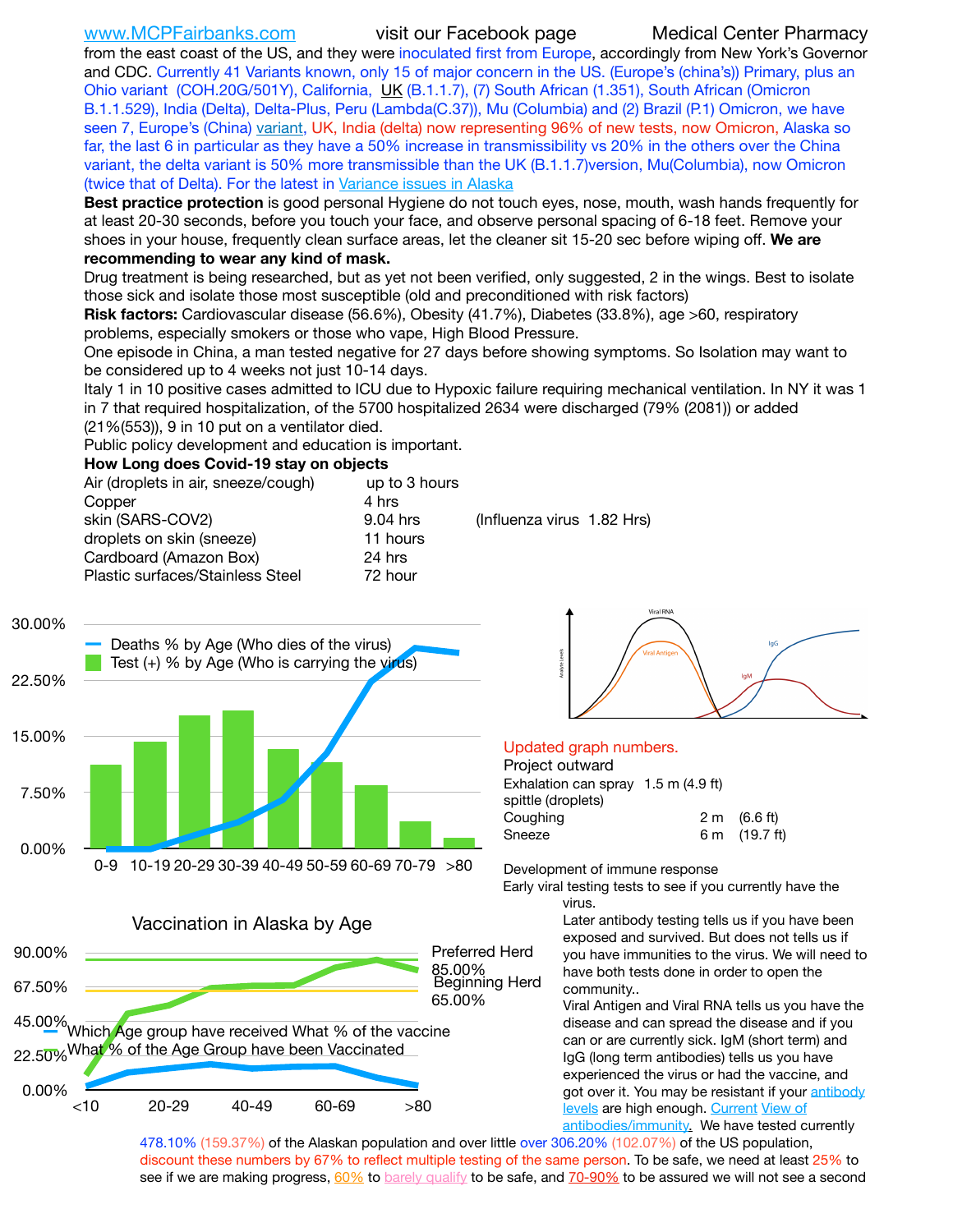[www.MCPFairbanks.com](http://www.MCPFairbanks.com) visit our Facebook page Medical Center Pharmacy

from the east coast of the US, and they were inoculated first from Europe, accordingly from New York's Governor and CDC. Currently 41 Variants known, only 15 of major concern in the US. (Europe's (china's)) Primary, plus an Ohio variant (COH.20G/501Y), California, [UK](https://www.cdc.gov/coronavirus/2019-ncov/transmission/variant-cases.html) (B.1.1.7), (7) South African (1.351), South African (Omicron B.1.1.529), India (Delta), Delta-Plus, Peru (Lambda(C.37)), Mu (Columbia) and (2) Brazil (P.1) Omicron, we have seen 7, Europe's (China) [variant,](https://www.webmd.com/lung/news/20210318/cdc-who-create-threat-levels-for-covid-variants?ecd=wnl_cvd_031921&ctr=wnl-cvd-031921&mb=kYbf7DsHb7YGjh/1RUkcAW0T6iorImAU1TDZh18RYs0=_Support_titleLink_2) UK, India (delta) now representing 96% of new tests, now Omicron, Alaska so far, the last 6 in particular as they have a 50% increase in transmissibility vs 20% in the others over the China variant, the delta variant is 50% more transmissible than the UK (B.1.1.7)version, Mu(Columbia), now Omicron (twice that of Delta). For the latest in [Variance issues in Alaska](https://akvariants.github.io)

**Best practice protection** is good personal Hygiene do not touch eyes, nose, mouth, wash hands frequently for at least 20-30 seconds, before you touch your face, and observe personal spacing of 6-18 feet. Remove your shoes in your house, frequently clean surface areas, let the cleaner sit 15-20 sec before wiping off. **We are recommending to wear any kind of mask.**

Drug treatment is being researched, but as yet not been verified, only suggested, 2 in the wings. Best to isolate those sick and isolate those most susceptible (old and preconditioned with risk factors)

**Risk factors:** Cardiovascular disease (56.6%), Obesity (41.7%), Diabetes (33.8%), age >60, respiratory problems, especially smokers or those who vape, High Blood Pressure.

One episode in China, a man tested negative for 27 days before showing symptoms. So Isolation may want to be considered up to 4 weeks not just 10-14 days.

Italy 1 in 10 positive cases admitted to ICU due to Hypoxic failure requiring mechanical ventilation. In NY it was 1 in 7 that required hospitalization, of the 5700 hospitalized 2634 were discharged (79% (2081)) or added (21%(553)), 9 in 10 put on a ventilator died.

Public policy development and education is important.

**How Long does Covid-19 stay on objects**

| Air (droplets in air, sneeze/cough) | up to 3 hours |                            |
|-------------------------------------|---------------|----------------------------|
| Copper                              | 4 hrs         |                            |
| skin (SARS-COV2)                    | 9.04 hrs      | (Influenza virus 1.82 Hrs) |
| droplets on skin (sneeze)           | 11 hours      |                            |
| Cardboard (Amazon Box)              | 24 hrs        |                            |
| Plastic surfaces/Stainless Steel    | 72 hour       |                            |
|                                     |               |                            |



Vaccination in Alaska by Age

22.5<mark>0%</mark>Wha<mark>t % of the Age Group have been Vaccinated</mark>

45.00% Which Age group have received What % of the vaccine

<10 20-29 40-49 60-69 >80

0.00%

67.50%

90.00%



## Updated graph numbers.

Project outward Exhalation can spray 1.5 m (4.9 ft) spittle (droplets) Coughing  $2 \text{ m}$   $(6.6 \text{ ft})$ Sneeze 6 m (19.7 ft)

Development of immune response

Early viral testing tests to see if you currently have the virus.

> Later antibody testing tells us if you have been exposed and survived. But does not tells us if you have immunities to the virus. We will need to have both tests done in order to open the community..

> Viral Antigen and Viral RNA tells us you have the disease and can spread the disease and if you can or are currently sick. IgM (short term) and IgG (long term antibodies) tells us you have experienced the virus or had the vaccine, and got over it. You may be resistant if your [antibody](https://www.cdc.gov/coronavirus/2019-ncov/lab/resources/antibody-tests.html)  [levels](https://www.cdc.gov/coronavirus/2019-ncov/lab/resources/antibody-tests.html) are high enough. [Current](https://l.facebook.com/l.php?u=https://www.itv.com/news/2020-10-26/covid-19-antibody-levels-reduce-over-time-study-finds?fbclid=IwAR3Dapzh1qIH1EIOdUQI2y8THf7jfA4KBCaJz8Qg-8xe1YsrR4nsAHDIXSY&h=AT30nut8pkqp0heVuz5W2rT2WFFm-2Ab52BsJxZZCNlGsX58IpPkuVEPULbIUV_M16MAukx1Kwb657DPXxsgDN1rpOQ4gqBtQsmVYiWpnHPJo2RQsU6CPMd14lgLnQnFWxfVi6zvmw&__tn__=-UK-R&c%5B0%5D=AT1GaRAfR_nGAyqcn7TI1-PpvqOqEKXHnz6TDWvRStMnOSH7boQDvTiwTOc6VId9UES6LKiOmm2m88wKCoolkJyOFvakt2Z1Mw8toYWGGoWW23r0MNVBl7cYJXB_UOvGklNHaNnaNr1_S7NhT3BSykNOBg) View of [antibodies/immunity](https://www.livescience.com/antibodies.html)[.](https://www.itv.com/news/2020-10-26/covid-19-antibody-levels-reduce-over-time-study-finds) We have tested currently

478.10% (159.37%) of the Alaskan population and over little over 306.20% (102.07%) of the US population, discount these numbers by 67% to reflect multiple testing of the same person. To be safe, we need at least 25% to see if we are making progress, [60%](https://www.jhsph.edu/covid-19/articles/achieving-herd-immunity-with-covid19.html) to [barely qualify](https://www.nature.com/articles/d41586-020-02948-4) to be safe, and [70-90%](https://www.mayoclinic.org/herd-immunity-and-coronavirus/art-20486808) to be assured we will not see a second

65.00%

85.00% Preferred Herd

Beginning Herd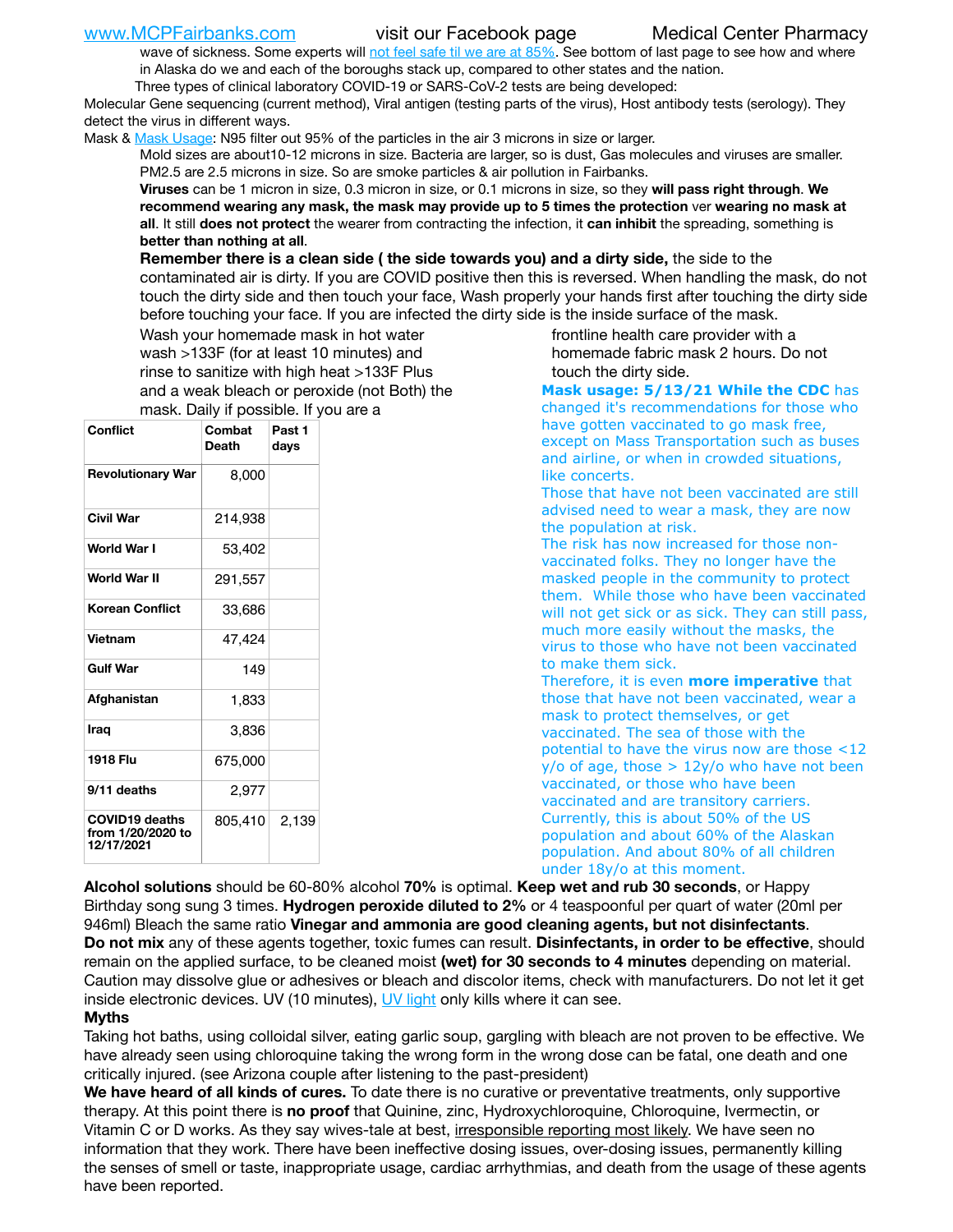### [www.MCPFairbanks.com](http://www.MCPFairbanks.com) visit our Facebook page Medical Center Pharmacy

wave of sickness. Some experts will [not feel safe til we are at 85%.](https://www.bannerhealth.com/healthcareblog/teach-me/what-is-herd-immunity) See bottom of last page to see how and where in Alaska do we and each of the boroughs stack up, compared to other states and the nation.

Three types of clinical laboratory COVID-19 or SARS-CoV-2 tests are being developed:

Molecular Gene sequencing (current method), Viral antigen (testing parts of the virus), Host antibody tests (serology). They detect the virus in different ways.

Mask & [Mask Usage:](https://www.nationalgeographic.com/history/2020/03/how-cities-flattened-curve-1918-spanish-flu-pandemic-coronavirus/) N95 filter out 95% of the particles in the air 3 microns in size or larger.

Mold sizes are about10-12 microns in size. Bacteria are larger, so is dust, Gas molecules and viruses are smaller. PM2.5 are 2.5 microns in size. So are smoke particles & air pollution in Fairbanks.

**Viruses** can be 1 micron in size, 0.3 micron in size, or 0.1 microns in size, so they **will pass right through**. **We recommend wearing any mask, the mask may provide up to 5 times the protection** ver **wearing no mask at all**. It still **does not protect** the wearer from contracting the infection, it **can inhibit** the spreading, something is **better than nothing at all**.

**Remember there is a clean side ( the side towards you) and a dirty side,** the side to the contaminated air is dirty. If you are COVID positive then this is reversed. When handling the mask, do not touch the dirty side and then touch your face, Wash properly your hands first after touching the dirty side before touching your face. If you are infected the dirty side is the inside surface of the mask.

Wash your homemade mask in hot water wash >133F (for at least 10 minutes) and rinse to sanitize with high heat >133F Plus and a weak bleach or peroxide (not Both) the mask. Daily if possible. If you are a

| Conflict                                                 | Combat<br>Death | Past 1<br>days |  |  |  |
|----------------------------------------------------------|-----------------|----------------|--|--|--|
| <b>Revolutionary War</b>                                 | 8,000           |                |  |  |  |
| <b>Civil War</b>                                         | 214,938         |                |  |  |  |
| World War I                                              | 53,402          |                |  |  |  |
| <b>World War II</b>                                      | 291,557         |                |  |  |  |
| Korean Conflict                                          | 33,686          |                |  |  |  |
| <b>Vietnam</b>                                           | 47,424          |                |  |  |  |
| <b>Gulf War</b>                                          | 149             |                |  |  |  |
| Afghanistan                                              | 1,833           |                |  |  |  |
| Irag                                                     | 3,836           |                |  |  |  |
| 1918 Flu                                                 | 675,000         |                |  |  |  |
| 9/11 deaths                                              | 2,977           |                |  |  |  |
| <b>COVID19 deaths</b><br>from 1/20/2020 to<br>12/17/2021 | 805,410         | 2,139          |  |  |  |

frontline health care provider with a homemade fabric mask 2 hours. Do not touch the dirty side.

**Mask usage: 5/13/21 While the CDC** has changed it's recommendations for those who have gotten vaccinated to go mask free, except on Mass Transportation such as buses and airline, or when in crowded situations, like concerts.

Those that have not been vaccinated are still advised need to wear a mask, they are now the population at risk.

The risk has now increased for those nonvaccinated folks. They no longer have the masked people in the community to protect them. While those who have been vaccinated will not get sick or as sick. They can still pass, much more easily without the masks, the virus to those who have not been vaccinated to make them sick.

Therefore, it is even **more imperative** that those that have not been vaccinated, wear a mask to protect themselves, or get vaccinated. The sea of those with the potential to have the virus now are those <12  $y$ /o of age, those  $> 12y$ /o who have not been vaccinated, or those who have been vaccinated and are transitory carriers. Currently, this is about 50% of the US population and about 60% of the Alaskan population. And about 80% of all children under 18y/o at this moment.

**Alcohol solutions** should be 60-80% alcohol **70%** is optimal. **Keep wet and rub 30 seconds**, or Happy Birthday song sung 3 times. **Hydrogen peroxide diluted to 2%** or 4 teaspoonful per quart of water (20ml per 946ml) Bleach the same ratio **Vinegar and ammonia are good cleaning agents, but not disinfectants**. **Do not mix** any of these agents together, toxic fumes can result. **Disinfectants, in order to be effective**, should remain on the applied surface, to be cleaned moist **(wet) for 30 seconds to 4 minutes** depending on material. Caution may dissolve glue or adhesives or bleach and discolor items, check with manufacturers. Do not let it get inside electronic devices. UV (10 minutes), [UV light](http://www.docreviews.me/best-uv-boxes-2020/?fbclid=IwAR3bvFtXB48OoBBSvYvTEnKuHNPbipxM6jUo82QUSw9wckxjC7wwRZWabGw) only kills where it can see.

## **Myths**

Taking hot baths, using colloidal silver, eating garlic soup, gargling with bleach are not proven to be effective. We have already seen using chloroquine taking the wrong form in the wrong dose can be fatal, one death and one critically injured. (see Arizona couple after listening to the past-president)

**We have heard of all kinds of cures.** To date there is no curative or preventative treatments, only supportive therapy. At this point there is **no proof** that Quinine, zinc, Hydroxychloroquine, Chloroquine, Ivermectin, or Vitamin C or D works. As they say wives-tale at best, *irresponsible reporting most likely*. We have seen no information that they work. There have been ineffective dosing issues, over-dosing issues, permanently killing the senses of smell or taste, inappropriate usage, cardiac arrhythmias, and death from the usage of these agents have been reported.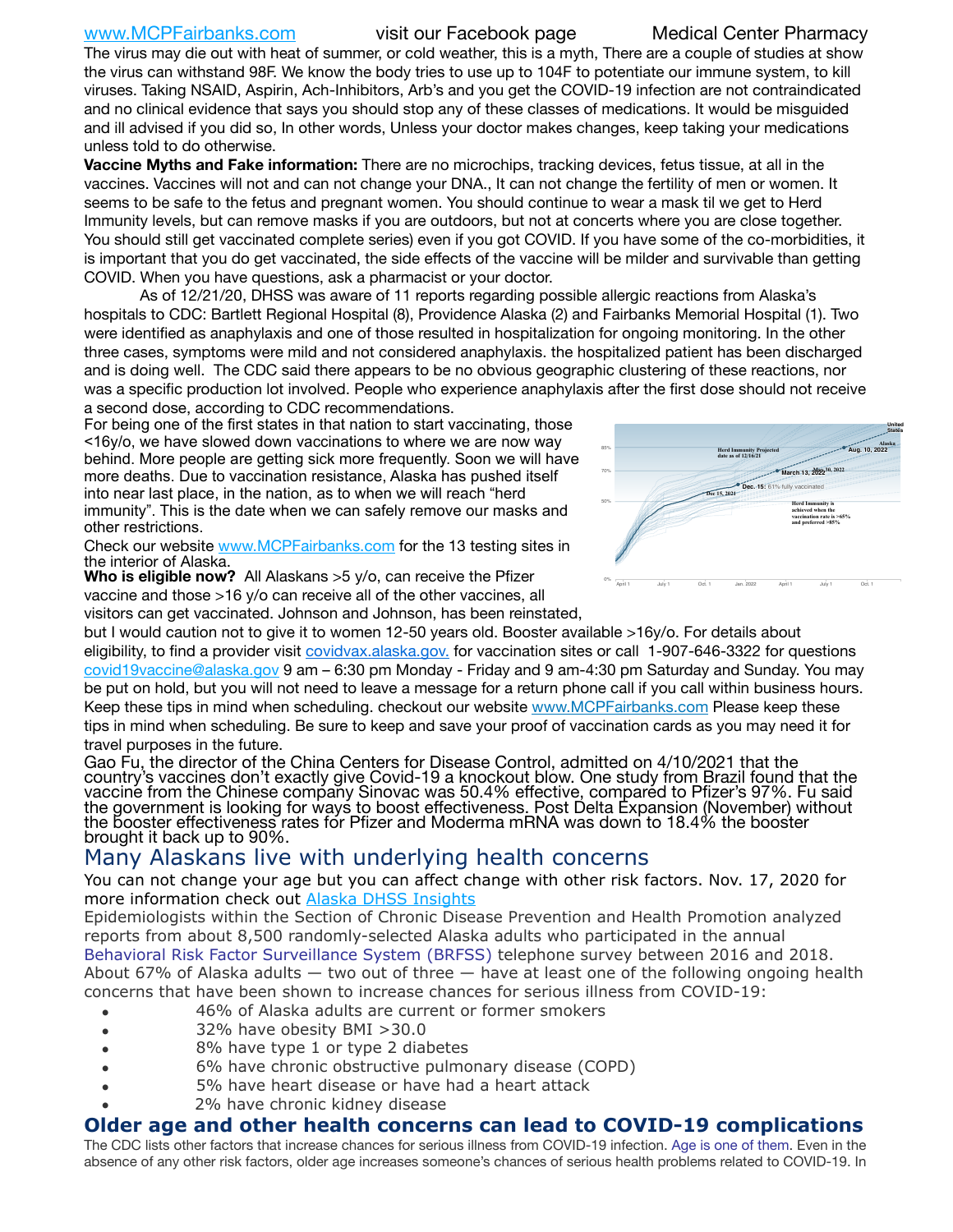[www.MCPFairbanks.com](http://www.MCPFairbanks.com) visit our Facebook page Medical Center Pharmacy

The virus may die out with heat of summer, or cold weather, this is a myth, There are a couple of studies at show the virus can withstand 98F. We know the body tries to use up to 104F to potentiate our immune system, to kill viruses. Taking NSAID, Aspirin, Ach-Inhibitors, Arb's and you get the COVID-19 infection are not contraindicated and no clinical evidence that says you should stop any of these classes of medications. It would be misguided and ill advised if you did so, In other words, Unless your doctor makes changes, keep taking your medications unless told to do otherwise.

**Vaccine Myths and Fake information:** There are no microchips, tracking devices, fetus tissue, at all in the vaccines. Vaccines will not and can not change your DNA., It can not change the fertility of men or women. It seems to be safe to the fetus and pregnant women. You should continue to wear a mask til we get to Herd Immunity levels, but can remove masks if you are outdoors, but not at concerts where you are close together. You should still get vaccinated complete series) even if you got COVID. If you have some of the co-morbidities, it is important that you do get vaccinated, the side effects of the vaccine will be milder and survivable than getting COVID. When you have questions, ask a pharmacist or your doctor.

As of 12/21/20, DHSS was aware of 11 reports regarding possible allergic reactions from Alaska's hospitals to CDC: Bartlett Regional Hospital (8), Providence Alaska (2) and Fairbanks Memorial Hospital (1). Two were identified as anaphylaxis and one of those resulted in hospitalization for ongoing monitoring. In the other three cases, symptoms were mild and not considered anaphylaxis. the hospitalized patient has been discharged and is doing well. The CDC said there appears to be no obvious geographic clustering of these reactions, nor was a specific production lot involved. People who experience anaphylaxis after the first dose should not receive a second dose, according to CDC recommendations. United States

For being one of the first states in that nation to start vaccinating, those <16y/o, we have slowed down vaccinations to where we are now way behind. More people are getting sick more frequently. Soon we will have more deaths. Due to vaccination resistance, Alaska has pushed itself into near last place, in the nation, as to when we will reach "herd immunity". This is the date when we can safely remove our masks and other restrictions.

Check our website [www.MCPFairbanks.com](http://www.MCPFairbanks.com) for the 13 testing sites in the interior of Alaska.

**Who is eligible now?** All Alaskans >5 y/o, can receive the Pfizer vaccine and those >16 y/o can receive all of the other vaccines, all visitors can get vaccinated. Johnson and Johnson, has been reinstated,



but I would caution not to give it to women 12-50 years old. Booster available >16y/o. For details about eligibility, to find a provider visit [covidvax.alaska.gov.](https://lnks.gd/l/eyJhbGciOiJIUzI1NiJ9.eyJidWxsZXRpbl9saW5rX2lkIjoxMDYsInVyaSI6ImJwMjpjbGljayIsImJ1bGxldGluX2lkIjoiMjAyMTAxMjguMzQwODU3NjEiLCJ1cmwiOiJodHRwOi8vZGhzcy5hbGFza2EuZ292L2RwaC9FcGkvaWQvUGFnZXMvQ09WSUQtMTkvdmFjY2luZS5hc3B4In0.-Xwhl42jAWOMS7ewfS85uxwrwjohCso3Sb81DuDKtxU/s/500544915/br/93796640171-l) for vaccination sites or call 1-907-646-3322 for questions [covid19vaccine@alaska.gov](mailto:covid19vaccine@alaska.gov?subject=COVID19%20Vaccine%20questions) 9 am – 6:30 pm Monday - Friday and 9 am-4:30 pm Saturday and Sunday. You may be put on hold, but you will not need to leave a message for a return phone call if you call within business hours. Keep these tips in mind when scheduling. checkout our website [www.MCPFairbanks.com](http://www.MCPFairbanks.com) Please keep these tips in mind when scheduling. Be sure to keep and save your proof of vaccination cards as you may need it for travel purposes in the future.

Gao Fu, the director of the China Centers for Disease Control, admitted on 4/10/2021 that the country's vaccines don't exactly give Covid-19 a knockout blow. One study from Brazil found that the vaccine from the Chinese company Sinovac was 50.4% effective, compared to Pfizer's 97%. Fu said the government is looking for ways to boost effectiveness. Post Delta Expansion (November) without<br>the booster effectiveness rates for Pfizer and Moderma mRNA was down to 18.4% the booster the booster effectiveness rates for Pfizer and Moderma mRNA was down to 18.4% the booster<br>brought it back up to 90%.

# Many Alaskans live with underlying health concerns

You can not change your age but you can affect change with other risk factors. Nov. 17, 2020 for more information check out [Alaska DHSS Insights](http://dhss.alaska.gov/dph/Epi/id/Pages/COVID-19/blog/20201117.aspx)

Epidemiologists within the Section of Chronic Disease Prevention and Health Promotion analyzed reports from about 8,500 randomly-selected Alaska adults who participated in the annual [Behavioral Risk Factor Surveillance System \(BRFSS\)](http://dhss.alaska.gov/dph/Chronic/Pages/brfss/default.aspx) telephone survey between 2016 and 2018. About 67% of Alaska adults — two out of three — have at least one of the following ongoing health concerns that have been shown to increase chances for serious illness from COVID-19:

- 46% of Alaska adults are current or former smokers
- 32% have obesity BMI >30.0
- 8% have type 1 or type 2 diabetes
- 6% have chronic obstructive pulmonary disease (COPD)
- 5% have heart disease or have had a heart attack
- 2% have chronic kidney disease

## **Older age and other health concerns can lead to COVID-19 complications**

The CDC lists other factors that increase chances for serious illness from COVID-19 infection. [Age is one of them](https://www.cdc.gov/coronavirus/2019-ncov/need-extra-precautions/older-adults.html). Even in the absence of any other risk factors, older age increases someone's chances of serious health problems related to COVID-19. In